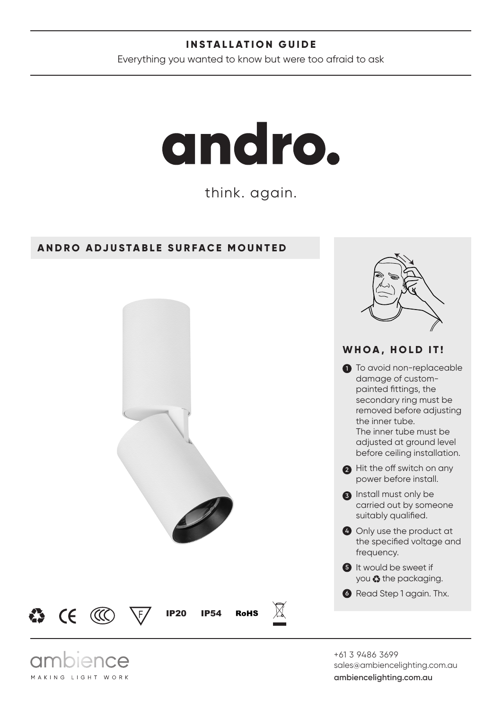#### **INSTALLATION GUIDE**

Everything you wanted to know but were too afraid to ask

# andro.

think. again.

#### **ANDRO ADJUSTABLE SURFACE MOUNTED**

ence

MAKING LIGHT WORK



+61 3 9486 3699 sales@ambiencelighting.com.au **ambiencelighting.com.au**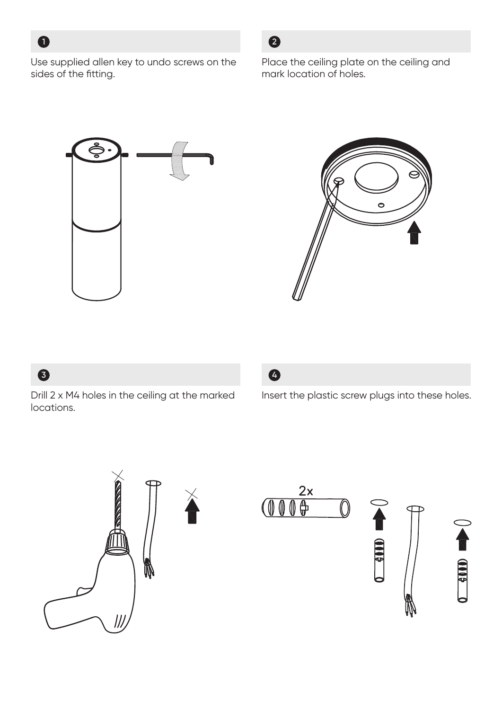

Use supplied allen key to undo screws on the sides of the fitting.

#### Place the ceiling plate on the ceiling and mark location of holes.





## **3**

Drill 2 x M4 holes in the ceiling at the marked locations.



Insert the plastic screw plugs into these holes.





**2**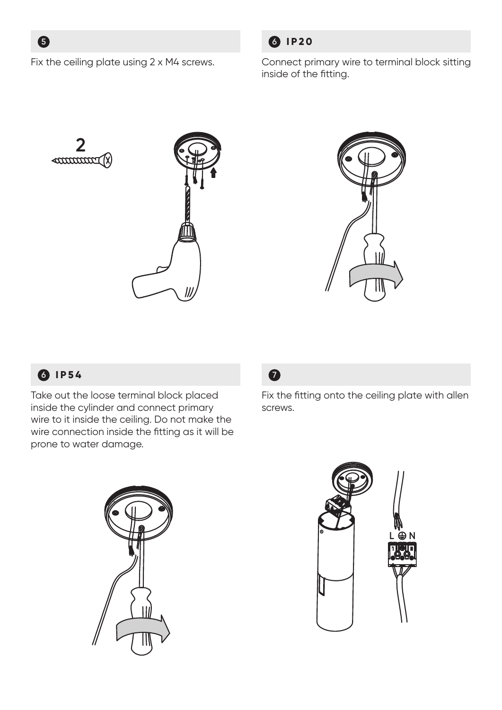**5**

Fix the ceiling plate using 2 x M4 screws.



Connect primary wire to terminal block sitting inside of the fitting.





# **6 IP54**

Take out the loose terminal block placed inside the cylinder and connect primary wire to it inside the ceiling. Do not make the wire connection inside the fitting as it will be prone to water damage.



Fix the fitting onto the ceiling plate with allen screws.